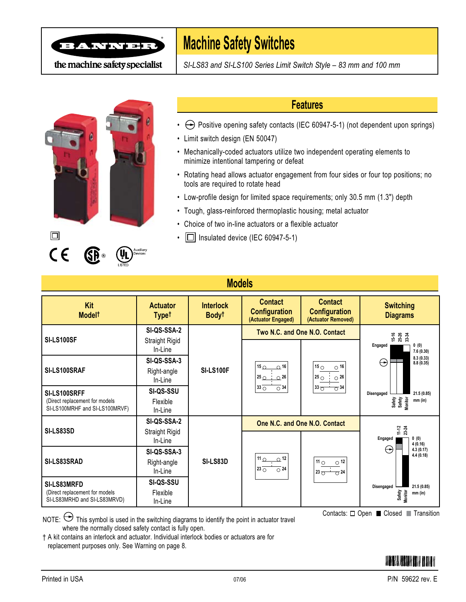

# **Machine Safety Switches**

*SI-LS83 and SI-LS100 Series Limit Switch Style – 83 mm and 100 mm*





 $\Box$ 

 $C \in$ 

## **Features**

- $\leftrightarrow$  Positive opening safety contacts (IEC 60947-5-1) (not dependent upon springs)
- Limit switch design (EN 50047)
- Mechanically-coded actuators utilize two independent operating elements to minimize intentional tampering or defeat
- Rotating head allows actuator engagement from four sides or four top positions; no tools are required to rotate head
- Low-profile design for limited space requirements; only 30.5 mm (1.3") depth
- Tough, glass-reinforced thermoplastic housing; metal actuator
- Choice of two in-line actuators or a flexible actuator
- $\cdot$   $\Box$  Insulated device (IEC 60947-5-1)

# **Models**

| Kit<br>Model <sup>+</sup>                                                                            | <b>Actuator</b><br><b>Typet</b>  | <b>Interlock</b><br>Body <sup>t</sup> | <b>Contact</b><br><b>Configuration</b><br>(Actuator Engaged)                                           | <b>Contact</b><br><b>Configuration</b><br>(Actuator Removed)                                                    | <b>Switching</b><br><b>Diagrams</b>                                 |  |
|------------------------------------------------------------------------------------------------------|----------------------------------|---------------------------------------|--------------------------------------------------------------------------------------------------------|-----------------------------------------------------------------------------------------------------------------|---------------------------------------------------------------------|--|
|                                                                                                      | SI-QS-SSA-2                      |                                       | Two N.C. and One N.O. Contact                                                                          |                                                                                                                 | $15 - 26$<br>25-26<br>33-34                                         |  |
| SI-LS100SF                                                                                           | Straight Rigid<br>In-Line        | <b>SI-LS100F</b>                      | 15 <sub>O</sub><br>$-0.16$<br>$25\circ$<br>$\Omega$ <sup>26</sup><br>$33 \circ$<br>$\overline{O}$ 34 i |                                                                                                                 | Engaged<br>0(0)<br>7.6(0.30)                                        |  |
| SI-LS100SRAF                                                                                         | SI-QS-SSA-3                      |                                       |                                                                                                        | 15 $\circ$<br>$\circ$ 16<br>$25 \circ$<br>$\circ$ 26<br>$33\sigma$<br>$\overline{O}34$                          | 8.3(0.33)<br>$\Theta$<br>8.8(0.35)                                  |  |
|                                                                                                      | Right-angle<br>In-Line           |                                       |                                                                                                        |                                                                                                                 | 21.5 (0.85)<br>Disengaged<br>Safety<br>Safety<br>Monitor<br>mm (in) |  |
| SI-LS100SRFF<br>(Direct replacement for models)<br>SI-LS100MRHF and SI-LS100MRVF)                    | SI-QS-SSU<br>Flexible<br>In-Line |                                       |                                                                                                        |                                                                                                                 |                                                                     |  |
|                                                                                                      | SI-QS-SSA-2                      |                                       | One N.C. and One N.O. Contact                                                                          |                                                                                                                 |                                                                     |  |
| <b>SI-LS83SD</b>                                                                                     | Straight Rigid<br>In-Line        |                                       |                                                                                                        |                                                                                                                 | $11 - 24$<br>23-24<br>0(0)<br>Engaged<br>4(0.16)                    |  |
| <b>SI-LS83SRAD</b><br>SI-LS83MRFD<br>(Direct replacement for models)<br>SI-LS83MRHD and SI-LS83MRVD) | SI-QS-SSA-3                      |                                       |                                                                                                        |                                                                                                                 | $\leftrightarrow$<br>4.3(0.17)<br>4.4(0.18)                         |  |
|                                                                                                      | Right-angle<br>In-Line           | SI-LS83D                              | 11 $\cap$<br>$\Omega$ <sup>12</sup><br>$123$ $\circ$<br>$\overline{O}$ 24                              | $\overline{\phantom{a}}$ 11 $\overline{\phantom{a}}$<br>$\circ$ 12<br>$\overline{O}$ 24<br>$123$ $\overline{O}$ | 21.5(0.85)<br>Disengaged<br>Safety<br><b>Monitor</b><br>mm (in)     |  |
|                                                                                                      | SI-QS-SSU                        |                                       |                                                                                                        |                                                                                                                 |                                                                     |  |
|                                                                                                      | Flexible<br>In-Line              |                                       |                                                                                                        |                                                                                                                 |                                                                     |  |

NOTE:  $\Theta$  This symbol is used in the switching diagrams to identify the point in actuator travel where the normally closed safety contact is fully open.

† A kit contains an interlock and actuator. Individual interlock bodies or actuators are for replacement purposes only. See Warning on page 8.

Contacts: □ Open ■ Closed ■ Transition

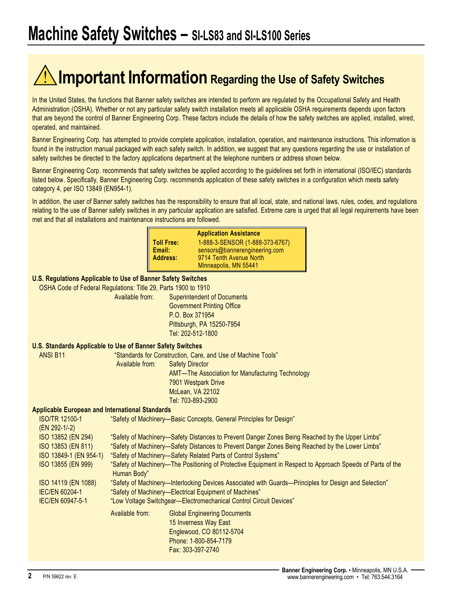# **Important Information Regarding the Use of Safety Switches**

In the United States, the functions that Banner safety switches are intended to perform are regulated by the Occupational Safety and Health Administration (OSHA). Whether or not any particular safety switch installation meets all applicable OSHA requirements depends upon factors that are beyond the control of Banner Engineering Corp. These factors include the details of how the safety switches are applied, installed, wired, operated, and maintained.

Banner Engineering Corp. has attempted to provide complete application, installation, operation, and maintenance instructions. This information is found in the instruction manual packaged with each safety switch. In addition, we suggest that any questions regarding the use or installation of safety switches be directed to the factory applications department at the telephone numbers or address shown below.

Banner Engineering Corp. recommends that safety switches be applied according to the guidelines set forth in international (ISO/IEC) standards listed below. Specifically, Banner Engineering Corp. recommends application of these safety switches in a configuration which meets safety category 4, per ISO 13849 (EN954-1).

In addition, the user of Banner safety switches has the responsibility to ensure that all local, state, and national laws, rules, codes, and regulations relating to the use of Banner safety switches in any particular application are satisfied. Extreme care is urged that all legal requirements have been met and that all installations and maintenance instructions are followed.

| <b>Application Assistance</b> |                                 |  |  |  |
|-------------------------------|---------------------------------|--|--|--|
| <b>Toll Free:</b>             | 1-888-3-SENSOR (1-888-373-6767) |  |  |  |
| Email:                        | sensors@bannerengineering.com   |  |  |  |
| <b>Address:</b>               | 9714 Tenth Avenue North         |  |  |  |
|                               | Minneapolis, MN 55441           |  |  |  |

#### **U.S. Regulations Applicable to Use of Banner Safety Switches**

OSHA Code of Federal Regulations: Title 29, Parts 1900 to 1910

 Available from: Superintendent of Documents Government Printing Office P.O. Box 371954 Pittsburgh, PA 15250-7954 Tel: 202-512-1800

#### **U.S. Standards Applicable to Use of Banner Safety Switches**

ANSI B11 "Standards for Construction, Care, and Use of Machine Tools" Available from: Safety Director AMT—The Association for Manufacturing Technology 7901 Westpark Drive McLean, VA 22102 Tel: 703-893-2900

#### **Applicable European and International Standards**

| <b>ISO/TR 12100-1</b>   |                                                                                                       | "Safety of Machinery-Basic Concepts, General Principles for Design"                                        |  |  |
|-------------------------|-------------------------------------------------------------------------------------------------------|------------------------------------------------------------------------------------------------------------|--|--|
| $(EN 292-1/-2)$         |                                                                                                       |                                                                                                            |  |  |
| ISO 13852 (EN 294)      |                                                                                                       | "Safety of Machinery—Safety Distances to Prevent Danger Zones Being Reached by the Upper Limbs"            |  |  |
| ISO 13853 (EN 811)      | "Safety of Machinery-Safety Distances to Prevent Danger Zones Being Reached by the Lower Limbs"       |                                                                                                            |  |  |
| ISO 13849-1 (EN 954-1)  |                                                                                                       | "Safety of Machinery-Safety Related Parts of Control Systems"                                              |  |  |
| ISO 13855 (EN 999)      | Human Body"                                                                                           | "Safety of Machinery—The Positioning of Protective Equipment in Respect to Approach Speeds of Parts of the |  |  |
| ISO 14119 (EN 1088)     | "Safety of Machinery—Interlocking Devices Associated with Guards—Principles for Design and Selection" |                                                                                                            |  |  |
| <b>IEC/EN 60204-1</b>   | "Safety of Machinery-Electrical Equipment of Machines"                                                |                                                                                                            |  |  |
| <b>IEC/EN 60947-5-1</b> |                                                                                                       | "Low Voltage Switchgear-Electromechanical Control Circuit Devices"                                         |  |  |
|                         | Available from:                                                                                       | <b>Global Engineering Documents</b>                                                                        |  |  |
|                         |                                                                                                       | 15 Inverness Way East                                                                                      |  |  |
|                         |                                                                                                       | Englewood, CO 80112-5704                                                                                   |  |  |
|                         |                                                                                                       | Phone: 1-800-854-7179                                                                                      |  |  |
|                         |                                                                                                       | Fax: 303-397-2740                                                                                          |  |  |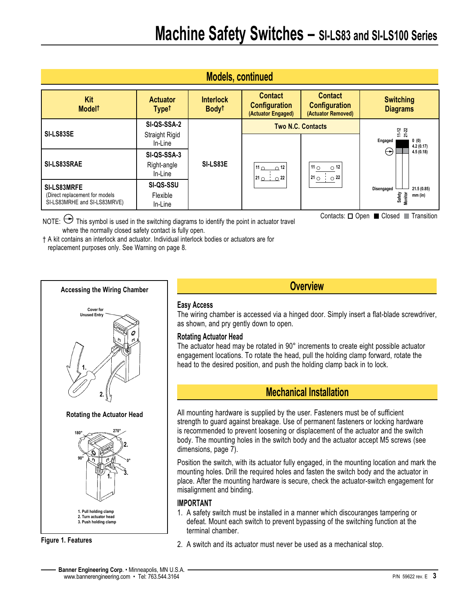| <b>Models, continued</b>                                       |                                 |                                       |                                                              |                                                               |                                                   |  |
|----------------------------------------------------------------|---------------------------------|---------------------------------------|--------------------------------------------------------------|---------------------------------------------------------------|---------------------------------------------------|--|
| Kit<br>Model <sup>t</sup>                                      | <b>Actuator</b><br><b>Typet</b> | <b>Interlock</b><br>Body <sup>t</sup> | <b>Contact</b><br><b>Configuration</b><br>(Actuator Engaged) | <b>Contact</b><br><b>Configuration</b><br>(Actuator Removed)  | <b>Switching</b><br><b>Diagrams</b>               |  |
| SI-LS83SE                                                      | SI-QS-SSA-2<br>Straight Rigid   | SI-LS83E                              | <b>Two N.C. Contacts</b>                                     |                                                               | $11 - 22$<br>21-22                                |  |
|                                                                | In-Line                         |                                       |                                                              |                                                               | 0(0)<br>Engaged<br>4.2(0.17)                      |  |
| SI-LS83SRAE                                                    | SI-QS-SSA-3                     |                                       |                                                              |                                                               | $\leftrightarrow$<br>4.5(0.18)                    |  |
|                                                                | Right-angle<br>In-Line          |                                       | $11_0$ 0 $12$<br>$210 \cdot 22$                              | 11 $\circ$<br>$\circ$ 12<br>$21^\circ$ $\circ$ $\frac{1}{22}$ |                                                   |  |
| SI-LS83MRFE                                                    | <b>SI-QS-SSU</b>                |                                       |                                                              |                                                               | 21.5 (0.85)<br>Disengaged                         |  |
| (Direct replacement for models<br>SI-LS83MRHE and SI-LS83MRVE) | Flexible<br>In-Line             |                                       |                                                              |                                                               | Safety<br>Monitor<br>mm (in)                      |  |
|                                                                |                                 |                                       |                                                              |                                                               | Contacts: $\Box$ Open $\Box$ Closed<br>Transition |  |

NOTE:  $\ominus$  This symbol is used in the switching diagrams to identify the point in actuator travel where the normally closed safety contact is fully open.

† A kit contains an interlock and actuator. Individual interlock bodies or actuators are for replacement purposes only. See Warning on page 8.



**Figure 1. Features**

**Overview**

### **Easy Access**

The wiring chamber is accessed via a hinged door. Simply insert a flat-blade screwdriver, as shown, and pry gently down to open.

### **Rotating Actuator Head**

The actuator head may be rotated in 90° increments to create eight possible actuator engagement locations. To rotate the head, pull the holding clamp forward, rotate the head to the desired position, and push the holding clamp back in to lock.

# **Mechanical Installation**

All mounting hardware is supplied by the user. Fasteners must be of sufficient strength to guard against breakage. Use of permanent fasteners or locking hardware is recommended to prevent loosening or displacement of the actuator and the switch body. The mounting holes in the switch body and the actuator accept M5 screws (see dimensions, page 7).

Position the switch, with its actuator fully engaged, in the mounting location and mark the mounting holes. Drill the required holes and fasten the switch body and the actuator in place. After the mounting hardware is secure, check the actuator-switch engagement for misalignment and binding.

### **IMPORTANT**

- 1. A safety switch must be installed in a manner which discouranges tampering or defeat. Mount each switch to prevent bypassing of the switching function at the terminal chamber.
- 2. A switch and its actuator must never be used as a mechanical stop.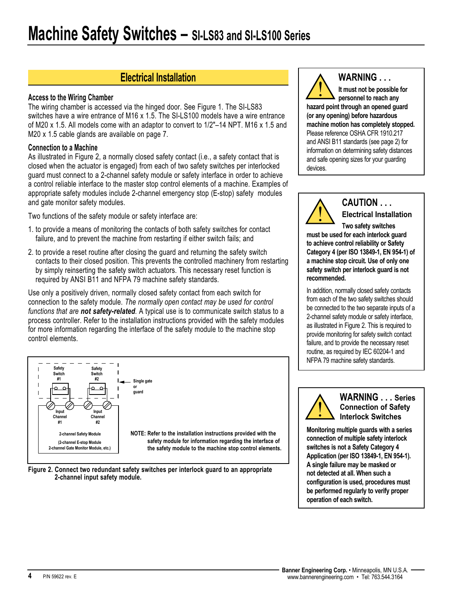# **Electrical Installation**

#### **Access to the Wiring Chamber**

The wiring chamber is accessed via the hinged door. See Figure 1. The SI-LS83 switches have a wire entrance of M16 x 1.5. The SI-LS100 models have a wire entrance of M20 x 1.5. All models come with an adaptor to convert to 1/2"–14 NPT. M16 x 1.5 and M20 x 1.5 cable glands are available on page 7.

#### **Connection to a Machine**

As illustrated in Figure 2, a normally closed safety contact (i.e., a safety contact that is closed when the actuator is engaged) from each of two safety switches per interlocked guard must connect to a 2-channel safety module or safety interface in order to achieve a control reliable interface to the master stop control elements of a machine. Examples of appropriate safety modules include 2-channel emergency stop (E-stop) safety modules and gate monitor safety modules.

Two functions of the safety module or safety interface are:

- 1. to provide a means of monitoring the contacts of both safety switches for contact failure, and to prevent the machine from restarting if either switch fails; and
- 2. to provide a reset routine after closing the guard and returning the safety switch contacts to their closed position. This prevents the controlled machinery from restarting by simply reinserting the safety switch actuators. This necessary reset function is required by ANSI B11 and NFPA 79 machine safety standards.

Use only a positively driven, normally closed safety contact from each switch for connection to the safety module. *The normally open contact may be used for control functions that are not safety-related.* A typical use is to communicate switch status to a process controller. Refer to the installation instructions provided with the safety modules for more information regarding the interface of the safety module to the machine stop control elements.



**Figure 2. Connect two redundant safety switches per interlock guard to an appropriate 2-channel input safety module.**

**WARNING . . .**

**It must not be possible for personnel to reach any hazard point through an opened guard (or any opening) before hazardous machine motion has completely stopped.** Please reference OSHA CFR 1910.217 and ANSI B11 standards (see page 2) for information on determining safety distances and safe opening sizes for your guarding devices.



## **CAUTION . . . Electrical Installation**

**Two safety switches must be used for each interlock guard to achieve control reliability or Safety Category 4 (per ISO 13849-1, EN 954-1) of a machine stop circuit. Use of only one safety switch per interlock guard is not recommended.**

In addition, normally closed safety contacts from each of the two safety switches should be connected to the two separate inputs of a 2-channel safety module or safety interface, as illustrated in Figure 2. This is required to provide monitoring for safety switch contact failure, and to provide the necessary reset routine, as required by IEC 60204-1 and NFPA 79 machine safety standards.



**WARNING . . . Series Connection of Safety Interlock Switches**

**Monitoring multiple guards with a series connection of multiple safety interlock switches is not a Safety Category 4 Application (per ISO 13849-1, EN 954-1). A single failure may be masked or not detected at all. When such a configuration is used, procedures must be performed regularly to verify proper operation of each switch.**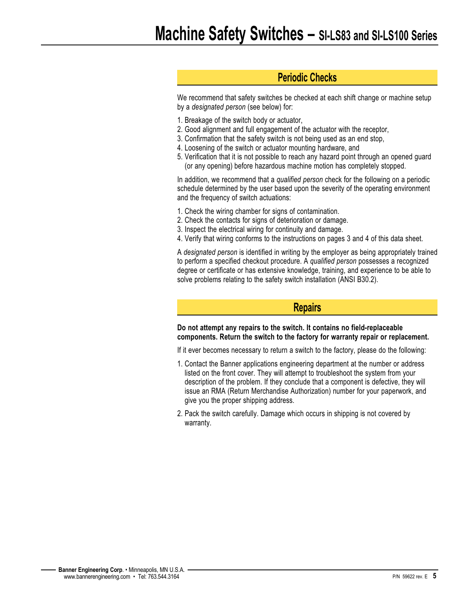# **Periodic Checks**

We recommend that safety switches be checked at each shift change or machine setup by a *designated person* (see below) for:

- 1. Breakage of the switch body or actuator,
- 2. Good alignment and full engagement of the actuator with the receptor,
- 3. Confirmation that the safety switch is not being used as an end stop,
- 4. Loosening of the switch or actuator mounting hardware, and
- 5. Verification that it is not possible to reach any hazard point through an opened guard (or any opening) before hazardous machine motion has completely stopped.

In addition, we recommend that a *qualified person* check for the following on a periodic schedule determined by the user based upon the severity of the operating environment and the frequency of switch actuations:

- 1. Check the wiring chamber for signs of contamination.
- 2. Check the contacts for signs of deterioration or damage.
- 3. Inspect the electrical wiring for continuity and damage.
- 4. Verify that wiring conforms to the instructions on pages 3 and 4 of this data sheet.

A *designated person* is identified in writing by the employer as being appropriately trained to perform a specified checkout procedure. A *qualified person* possesses a recognized degree or certificate or has extensive knowledge, training, and experience to be able to solve problems relating to the safety switch installation (ANSI B30.2).

### **Repairs**

**Do not attempt any repairs to the switch. It contains no field-replaceable components. Return the switch to the factory for warranty repair or replacement.**

If it ever becomes necessary to return a switch to the factory, please do the following:

- 1. Contact the Banner applications engineering department at the number or address listed on the front cover. They will attempt to troubleshoot the system from your description of the problem. If they conclude that a component is defective, they will issue an RMA (Return Merchandise Authorization) number for your paperwork, and give you the proper shipping address.
- 2. Pack the switch carefully. Damage which occurs in shipping is not covered by warranty.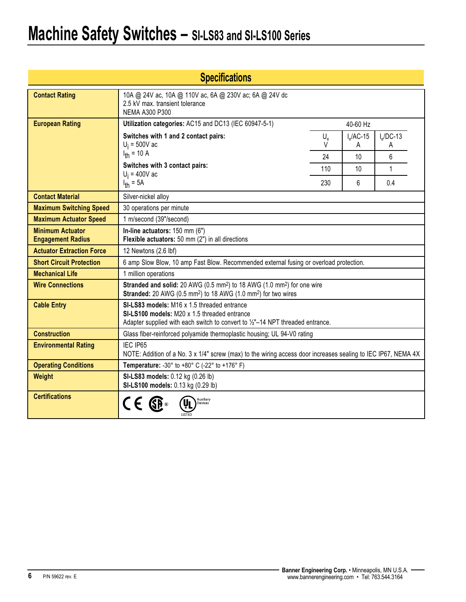# **Machine Safety Switches – SI-LS83 and SI-LS100 Series**

| <b>Specifications</b>                               |                                                                                                                                                                                           |                  |                   |                   |  |
|-----------------------------------------------------|-------------------------------------------------------------------------------------------------------------------------------------------------------------------------------------------|------------------|-------------------|-------------------|--|
| <b>Contact Rating</b>                               | 10A @ 24V ac, 10A @ 110V ac, 6A @ 230V ac; 6A @ 24V dc<br>2.5 kV max. transient tolerance<br>NEMA A300 P300                                                                               |                  |                   |                   |  |
| <b>European Rating</b>                              | Utilization categories: AC15 and DC13 (IEC 60947-5-1)                                                                                                                                     |                  | 40-60 Hz          |                   |  |
|                                                     | Switches with 1 and 2 contact pairs:<br>$U_i = 500V$ ac                                                                                                                                   | $U_{\rm e}$<br>V | $I_6$ /AC-15<br>Α | $I_6$ /DC-13<br>A |  |
|                                                     | $I_{\text{th}}$ = 10 A                                                                                                                                                                    | 24               | 10                | 6                 |  |
|                                                     | Switches with 3 contact pairs:<br>$U_i = 400V$ ac                                                                                                                                         | 110              | 10                | 1                 |  |
|                                                     | $I_{th} = 5A$                                                                                                                                                                             | 230              | 6                 | 0.4               |  |
| <b>Contact Material</b>                             | Silver-nickel alloy                                                                                                                                                                       |                  |                   |                   |  |
| <b>Maximum Switching Speed</b>                      | 30 operations per minute                                                                                                                                                                  |                  |                   |                   |  |
| <b>Maximum Actuator Speed</b>                       | 1 m/second (39"/second)                                                                                                                                                                   |                  |                   |                   |  |
| <b>Minimum Actuator</b><br><b>Engagement Radius</b> | In-line actuators: 150 mm (6")<br>Flexible actuators: 50 mm (2") in all directions                                                                                                        |                  |                   |                   |  |
| <b>Actuator Extraction Force</b>                    | 12 Newtons (2.6 lbf)                                                                                                                                                                      |                  |                   |                   |  |
| <b>Short Circuit Protection</b>                     | 6 amp Slow Blow, 10 amp Fast Blow. Recommended external fusing or overload protection.                                                                                                    |                  |                   |                   |  |
| <b>Mechanical Life</b>                              | 1 million operations                                                                                                                                                                      |                  |                   |                   |  |
| <b>Wire Connections</b>                             | Stranded and solid: 20 AWG (0.5 mm <sup>2</sup> ) to 18 AWG (1.0 mm <sup>2</sup> ) for one wire<br>Stranded: 20 AWG (0.5 mm <sup>2</sup> ) to 18 AWG (1.0 mm <sup>2</sup> ) for two wires |                  |                   |                   |  |
| <b>Cable Entry</b>                                  | SI-LS83 models: M16 x 1.5 threaded entrance<br>SI-LS100 models: M20 x 1.5 threaded entrance<br>Adapter supplied with each switch to convert to $\frac{1}{2}$ –14 NPT threaded entrance.   |                  |                   |                   |  |
| <b>Construction</b>                                 | Glass fiber-reinforced polyamide thermoplastic housing; UL 94-V0 rating                                                                                                                   |                  |                   |                   |  |
| <b>Environmental Rating</b>                         | IEC IP65<br>NOTE: Addition of a No. 3 x 1/4" screw (max) to the wiring access door increases sealing to IEC IP67, NEMA 4X                                                                 |                  |                   |                   |  |
| <b>Operating Conditions</b>                         | <b>Temperature: -30° to +80° C (-22° to +176° F)</b>                                                                                                                                      |                  |                   |                   |  |
| Weight                                              | SI-LS83 models: 0.12 kg (0.26 lb)<br>SI-LS100 models: 0.13 kg (0.29 lb)                                                                                                                   |                  |                   |                   |  |
| <b>Certifications</b>                               | Auxiliary<br>Devices                                                                                                                                                                      |                  |                   |                   |  |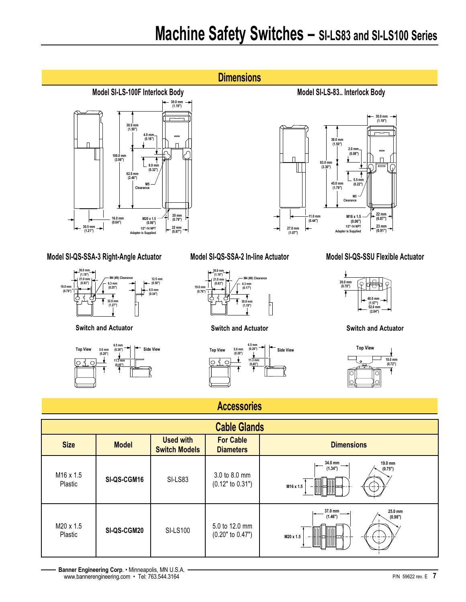